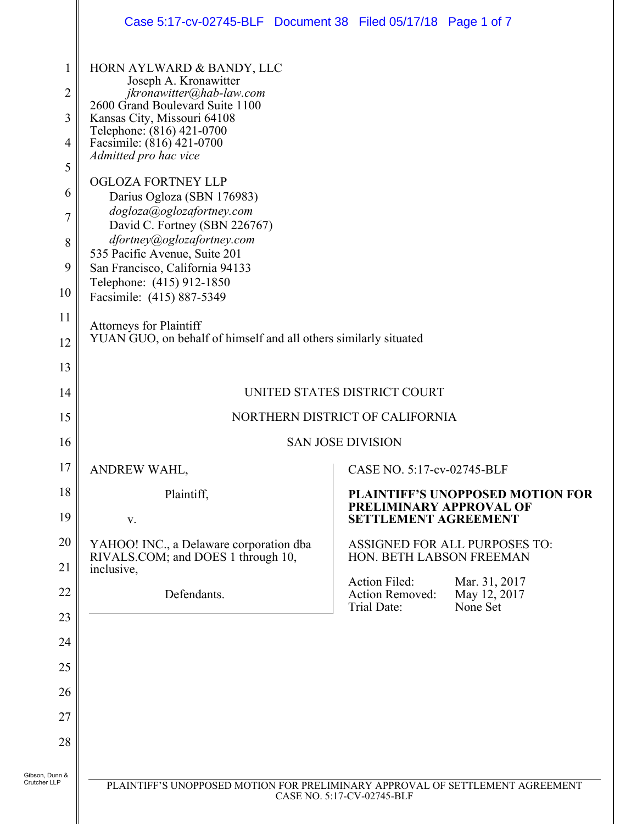|                                                                  | Case 5:17-cv-02745-BLF Document 38 Filed 05/17/18 Page 1 of 7                                                                                                                                                                                                                                                                                                                           |                                                                                            |  |
|------------------------------------------------------------------|-----------------------------------------------------------------------------------------------------------------------------------------------------------------------------------------------------------------------------------------------------------------------------------------------------------------------------------------------------------------------------------------|--------------------------------------------------------------------------------------------|--|
| $\mathbf 1$<br>$\overline{2}$                                    | HORN AYLWARD & BANDY, LLC<br>Joseph A. Kronawitter<br>jkronawitter@hab-law.com<br>2600 Grand Boulevard Suite 1100                                                                                                                                                                                                                                                                       |                                                                                            |  |
| 3<br>4                                                           | Kansas City, Missouri 64108<br>Telephone: (816) 421-0700<br>Facsimile: (816) 421-0700<br>Admitted pro hac vice                                                                                                                                                                                                                                                                          |                                                                                            |  |
| 5<br>6<br>$\overline{7}$<br>8<br>9<br>10<br>11<br>12<br>13<br>14 | <b>OGLOZA FORTNEY LLP</b><br>Darius Ogloza (SBN 176983)<br>dogloza@oglozafortney.com<br>David C. Fortney (SBN 226767)<br>dfortney@oglozafortney.com<br>535 Pacific Avenue, Suite 201<br>San Francisco, California 94133<br>Telephone: (415) 912-1850<br>Facsimile: (415) 887-5349<br><b>Attorneys for Plaintiff</b><br>YUAN GUO, on behalf of himself and all others similarly situated |                                                                                            |  |
|                                                                  | UNITED STATES DISTRICT COURT                                                                                                                                                                                                                                                                                                                                                            |                                                                                            |  |
| 15                                                               | NORTHERN DISTRICT OF CALIFORNIA                                                                                                                                                                                                                                                                                                                                                         |                                                                                            |  |
| 16                                                               | <b>SAN JOSE DIVISION</b>                                                                                                                                                                                                                                                                                                                                                                |                                                                                            |  |
| 17                                                               | ANDREW WAHL,                                                                                                                                                                                                                                                                                                                                                                            | CASE NO. 5:17-cv-02745-BLF                                                                 |  |
| 18<br>19                                                         | Plaintiff,<br>V.                                                                                                                                                                                                                                                                                                                                                                        | PLAINTIFF'S UNOPPOSED MOTION FOR<br>PRELIMINARY APPROVAL OF<br><b>SETTLEMENT AGREEMENT</b> |  |
| 20<br>21                                                         | YAHOO! INC., a Delaware corporation dba<br>RIVALS.COM; and DOES 1 through 10,<br>inclusive,                                                                                                                                                                                                                                                                                             | <b>ASSIGNED FOR ALL PURPOSES TO:</b><br>HON. BETH LABSON FREEMAN                           |  |
| 22                                                               | Defendants.                                                                                                                                                                                                                                                                                                                                                                             | Action Filed:<br>Mar. 31, 2017<br>Action Removed:                                          |  |
| 23                                                               |                                                                                                                                                                                                                                                                                                                                                                                         | May 12, 2017<br>None Set<br>Trial Date:                                                    |  |
| 24                                                               |                                                                                                                                                                                                                                                                                                                                                                                         |                                                                                            |  |
| 25                                                               |                                                                                                                                                                                                                                                                                                                                                                                         |                                                                                            |  |
| 26                                                               |                                                                                                                                                                                                                                                                                                                                                                                         |                                                                                            |  |
| 27                                                               |                                                                                                                                                                                                                                                                                                                                                                                         |                                                                                            |  |
| 28                                                               |                                                                                                                                                                                                                                                                                                                                                                                         |                                                                                            |  |
| Gibson, Dunn &<br>Crutcher LLP                                   |                                                                                                                                                                                                                                                                                                                                                                                         | PLAINTIFF'S UNOPPOSED MOTION FOR PRELIMINARY APPROVAL OF SETTLEMENT AGREEMENT              |  |

I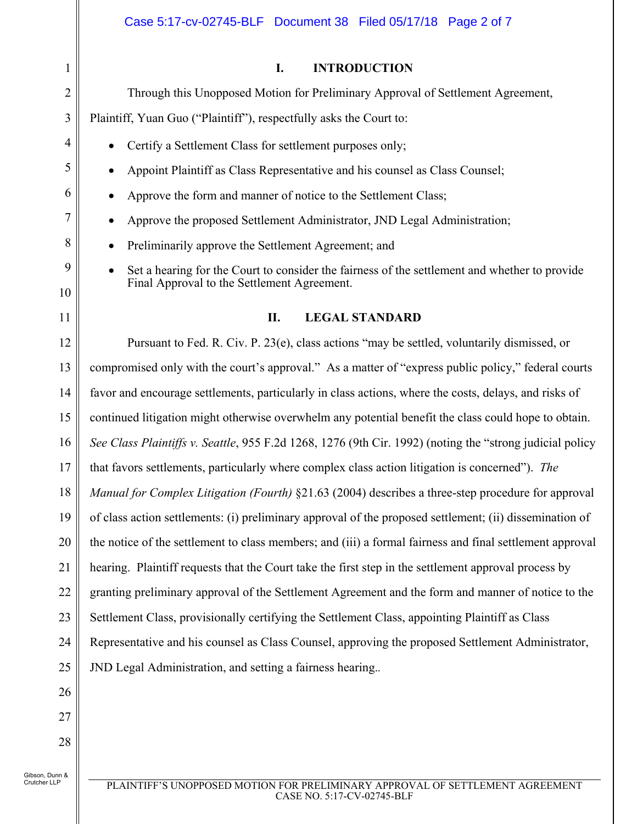| $\mathbf{1}$   | <b>INTRODUCTION</b><br>I.                                                                                |  |
|----------------|----------------------------------------------------------------------------------------------------------|--|
| $\overline{2}$ | Through this Unopposed Motion for Preliminary Approval of Settlement Agreement,                          |  |
| 3              | Plaintiff, Yuan Guo ("Plaintiff"), respectfully asks the Court to:                                       |  |
| 4              | Certify a Settlement Class for settlement purposes only;                                                 |  |
| 5              | Appoint Plaintiff as Class Representative and his counsel as Class Counsel;                              |  |
| 6              | Approve the form and manner of notice to the Settlement Class;                                           |  |
| 7              | Approve the proposed Settlement Administrator, JND Legal Administration;                                 |  |
| 8              | Preliminarily approve the Settlement Agreement; and                                                      |  |
| 9              | Set a hearing for the Court to consider the fairness of the settlement and whether to provide            |  |
| 10             | Final Approval to the Settlement Agreement.                                                              |  |
| 11             | <b>LEGAL STANDARD</b><br>II.                                                                             |  |
| 12             | Pursuant to Fed. R. Civ. P. 23(e), class actions "may be settled, voluntarily dismissed, or              |  |
| 13             | compromised only with the court's approval." As a matter of "express public policy," federal courts      |  |
| 14             | favor and encourage settlements, particularly in class actions, where the costs, delays, and risks of    |  |
| 15             | continued litigation might otherwise overwhelm any potential benefit the class could hope to obtain.     |  |
| 16             | See Class Plaintiffs v. Seattle, 955 F.2d 1268, 1276 (9th Cir. 1992) (noting the "strong judicial policy |  |
| 17             | that favors settlements, particularly where complex class action litigation is concerned"). The          |  |
| 18             | Manual for Complex Litigation (Fourth) §21.63 (2004) describes a three-step procedure for approval       |  |
| 19             | of class action settlements: (i) preliminary approval of the proposed settlement; (ii) dissemination of  |  |
| 20             | the notice of the settlement to class members; and (iii) a formal fairness and final settlement approval |  |
| 21             | hearing. Plaintiff requests that the Court take the first step in the settlement approval process by     |  |
| 22             | granting preliminary approval of the Settlement Agreement and the form and manner of notice to the       |  |
| 23             | Settlement Class, provisionally certifying the Settlement Class, appointing Plaintiff as Class           |  |
| 24             | Representative and his counsel as Class Counsel, approving the proposed Settlement Administrator,        |  |
| 25             | JND Legal Administration, and setting a fairness hearing                                                 |  |
| 26             |                                                                                                          |  |
| 27             |                                                                                                          |  |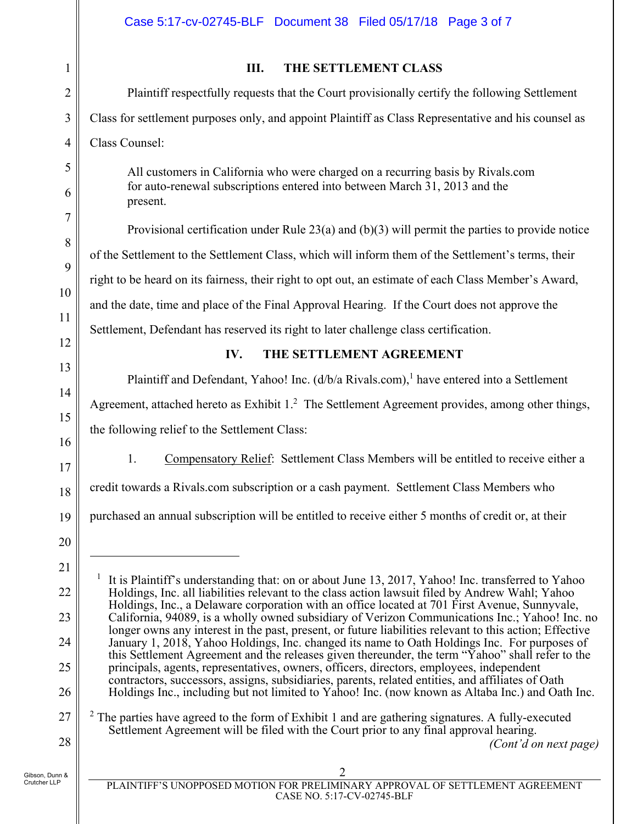## Case 5:17-cv-02745-BLF Document 38 Filed 05/17/18 Page 3 of 7

**III. THE SETTLEMENT CLASS**  Plaintiff respectfully requests that the Court provisionally certify the following Settlement Class for settlement purposes only, and appoint Plaintiff as Class Representative and his counsel as Class Counsel: All customers in California who were charged on a recurring basis by Rivals.com for auto-renewal subscriptions entered into between March 31, 2013 and the present. Provisional certification under Rule  $23(a)$  and (b)(3) will permit the parties to provide notice of the Settlement to the Settlement Class, which will inform them of the Settlement's terms, their right to be heard on its fairness, their right to opt out, an estimate of each Class Member's Award, and the date, time and place of the Final Approval Hearing. If the Court does not approve the Settlement, Defendant has reserved its right to later challenge class certification. **IV. THE SETTLEMENT AGREEMENT**  Plaintiff and Defendant, Yahoo! Inc.  $(d/b/a \text{ Rivals.com})$ , have entered into a Settlement Agreement, attached hereto as Exhibit  $1<sup>2</sup>$  The Settlement Agreement provides, among other things, the following relief to the Settlement Class: 1. Compensatory Relief: Settlement Class Members will be entitled to receive either a credit towards a Rivals.com subscription or a cash payment. Settlement Class Members who purchased an annual subscription will be entitled to receive either 5 months of credit or, at their  $\overline{a}$ 1 It is Plaintiff's understanding that: on or about June 13, 2017, Yahoo! Inc. transferred to Yahoo Holdings, Inc. all liabilities relevant to the class action lawsuit filed by Andrew Wahl; Yahoo

Holdings, Inc., a Delaware corporation with an office located at 701 First Avenue, Sunnyvale, California, 94089, is a wholly owned subsidiary of Verizon Communications Inc.; Yahoo! Inc. no longer owns any interest in the past, present, or future liabilities relevant to this action; Effective January 1, 2018, Yahoo Holdings, Inc. changed its name to Oath Holdings Inc. For purposes of this Settlement Agreement and the releases given thereunder, the term "Yahoo" shall refer to the principals, agents, representatives, owners, officers, directors, employees, independent contractors, successors, assigns, subsidiaries, parents, related entities, and affiliates of Oath Holdings Inc., including but not limited to Yahoo! Inc. (now known as Altaba Inc.) and Oath Inc.  $2$  The parties have agreed to the form of Exhibit 1 and are gathering signatures. A fully-executed Settlement Agreement will be filed with the Court prior to any final approval hearing.

*(Cont'd on next page)* 

1

2

3

4

5

6

7

8

 $\overline{Q}$ 

10

11

12

13

14

15

16

17

18

19

20

21

22

23

24

25

26

27

Gibson, Dunn & Crutcher LLP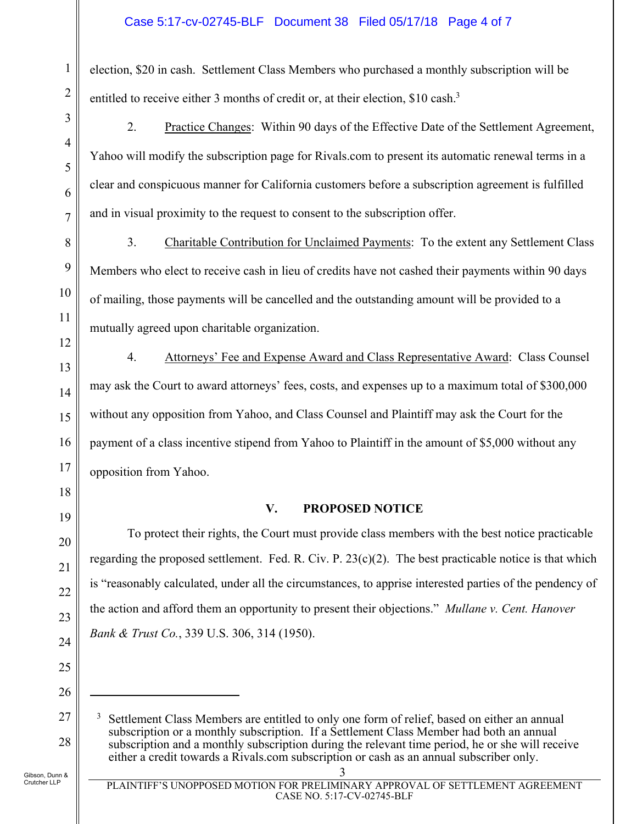## Case 5:17-cv-02745-BLF Document 38 Filed 05/17/18 Page 4 of 7

election, \$20 in cash. Settlement Class Members who purchased a monthly subscription will be entitled to receive either 3 months of credit or, at their election, \$10 cash.<sup>3</sup>

2. Practice Changes: Within 90 days of the Effective Date of the Settlement Agreement, Yahoo will modify the subscription page for Rivals.com to present its automatic renewal terms in a clear and conspicuous manner for California customers before a subscription agreement is fulfilled and in visual proximity to the request to consent to the subscription offer.

3. Charitable Contribution for Unclaimed Payments: To the extent any Settlement Class Members who elect to receive cash in lieu of credits have not cashed their payments within 90 days of mailing, those payments will be cancelled and the outstanding amount will be provided to a mutually agreed upon charitable organization.

4. Attorneys' Fee and Expense Award and Class Representative Award: Class Counsel may ask the Court to award attorneys' fees, costs, and expenses up to a maximum total of \$300,000 without any opposition from Yahoo, and Class Counsel and Plaintiff may ask the Court for the payment of a class incentive stipend from Yahoo to Plaintiff in the amount of \$5,000 without any opposition from Yahoo.

#### **V. PROPOSED NOTICE**

To protect their rights, the Court must provide class members with the best notice practicable regarding the proposed settlement. Fed. R. Civ. P.  $23(c)(2)$ . The best practicable notice is that which is "reasonably calculated, under all the circumstances, to apprise interested parties of the pendency of the action and afford them an opportunity to present their objections." *Mullane v. Cent. Hanover Bank & Trust Co.*, 339 U.S. 306, 314 (1950).

 $\overline{a}$ 

1

2

3

4

5

<sup>3</sup> Settlement Class Members are entitled to only one form of relief, based on either an annual subscription or a monthly subscription. If a Settlement Class Member had both an annual subscription and a monthly subscription during the relevant time period, he or she will receive either a credit towards a Rivals.com subscription or cash as an annual subscriber only.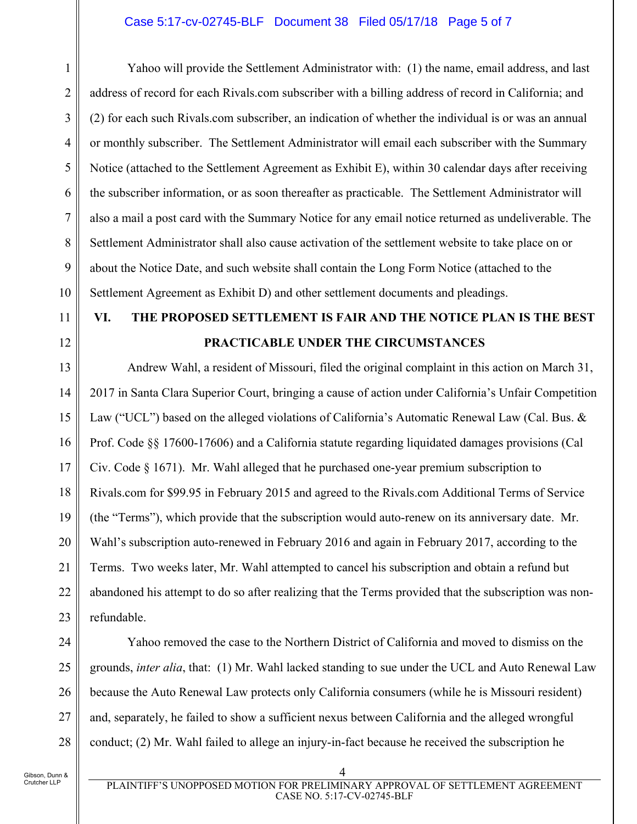## Case 5:17-cv-02745-BLF Document 38 Filed 05/17/18 Page 5 of 7

1 2 3 4 5 6 7 8 9 10 Yahoo will provide the Settlement Administrator with: (1) the name, email address, and last address of record for each Rivals.com subscriber with a billing address of record in California; and (2) for each such Rivals.com subscriber, an indication of whether the individual is or was an annual or monthly subscriber. The Settlement Administrator will email each subscriber with the Summary Notice (attached to the Settlement Agreement as Exhibit E), within 30 calendar days after receiving the subscriber information, or as soon thereafter as practicable. The Settlement Administrator will also a mail a post card with the Summary Notice for any email notice returned as undeliverable. The Settlement Administrator shall also cause activation of the settlement website to take place on or about the Notice Date, and such website shall contain the Long Form Notice (attached to the Settlement Agreement as Exhibit D) and other settlement documents and pleadings.

# 11

## 12

## **VI. THE PROPOSED SETTLEMENT IS FAIR AND THE NOTICE PLAN IS THE BEST PRACTICABLE UNDER THE CIRCUMSTANCES**

13 14 15 16 17 18 19 20 21 22 23 Andrew Wahl, a resident of Missouri, filed the original complaint in this action on March 31, 2017 in Santa Clara Superior Court, bringing a cause of action under California's Unfair Competition Law ("UCL") based on the alleged violations of California's Automatic Renewal Law (Cal. Bus. & Prof. Code §§ 17600-17606) and a California statute regarding liquidated damages provisions (Cal Civ. Code § 1671). Mr. Wahl alleged that he purchased one-year premium subscription to Rivals.com for \$99.95 in February 2015 and agreed to the Rivals.com Additional Terms of Service (the "Terms"), which provide that the subscription would auto-renew on its anniversary date. Mr. Wahl's subscription auto-renewed in February 2016 and again in February 2017, according to the Terms. Two weeks later, Mr. Wahl attempted to cancel his subscription and obtain a refund but abandoned his attempt to do so after realizing that the Terms provided that the subscription was nonrefundable.

24 25

26

27

28

Yahoo removed the case to the Northern District of California and moved to dismiss on the grounds, *inter alia*, that: (1) Mr. Wahl lacked standing to sue under the UCL and Auto Renewal Law because the Auto Renewal Law protects only California consumers (while he is Missouri resident) and, separately, he failed to show a sufficient nexus between California and the alleged wrongful conduct; (2) Mr. Wahl failed to allege an injury-in-fact because he received the subscription he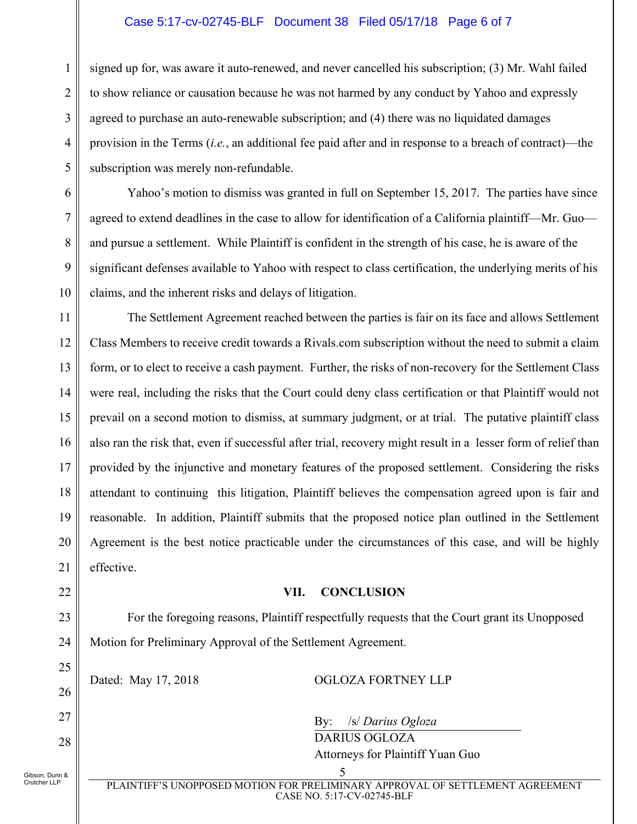## Case 5:17-cv-02745-BLF Document 38 Filed 05/17/18 Page 6 of 7

signed up for, was aware it auto-renewed, and never cancelled his subscription; (3) Mr. Wahl failed to show reliance or causation because he was not harmed by any conduct by Yahoo and expressly agreed to purchase an auto-renewable subscription; and (4) there was no liquidated damages provision in the Terms (*i.e.*, an additional fee paid after and in response to a breach of contract)—the subscription was merely non-refundable.

Yahoo's motion to dismiss was granted in full on September 15, 2017. The parties have since agreed to extend deadlines in the case to allow for identification of a California plaintiff—Mr. Guo and pursue a settlement. While Plaintiff is confident in the strength of his case, he is aware of the significant defenses available to Yahoo with respect to class certification, the underlying merits of his claims, and the inherent risks and delays of litigation.

11 12 13 14 15 16 17 18 19 20 21 The Settlement Agreement reached between the parties is fair on its face and allows Settlement Class Members to receive credit towards a Rivals.com subscription without the need to submit a claim form, or to elect to receive a cash payment. Further, the risks of non-recovery for the Settlement Class were real, including the risks that the Court could deny class certification or that Plaintiff would not prevail on a second motion to dismiss, at summary judgment, or at trial. The putative plaintiff class also ran the risk that, even if successful after trial, recovery might result in a lesser form of relief than provided by the injunctive and monetary features of the proposed settlement. Considering the risks attendant to continuing this litigation, Plaintiff believes the compensation agreed upon is fair and reasonable. In addition, Plaintiff submits that the proposed notice plan outlined in the Settlement Agreement is the best notice practicable under the circumstances of this case, and will be highly effective.

#### **VII. CONCLUSION**

For the foregoing reasons, Plaintiff respectfully requests that the Court grant its Unopposed Motion for Preliminary Approval of the Settlement Agreement.

Dated: May 17, 2018 OGLOZA FORTNEY LLP

By: /s/ *Darius Ogloza* 

 DARIUS OGLOZA Attorneys for Plaintiff Yuan Guo

Gibson, Dunn & Crutcher LLP

22

23

24

25

26

27

28

1

2

3

4

5

6

7

8

9

10

 5 PLAINTIFF'S UNOPPOSED MOTION FOR PRELIMINARY APPROVAL OF SETTLEMENT AGREEMENT CASE NO. 5:17-CV-02745-BLF